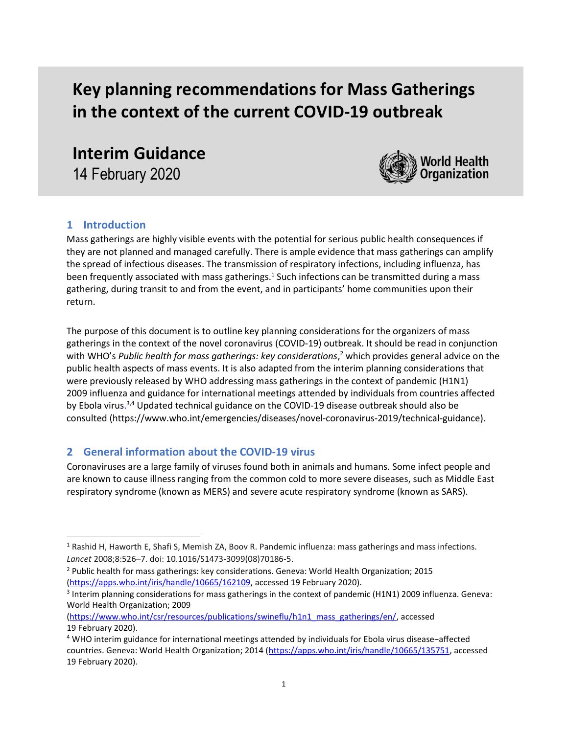# Key planning recommendations for Mass Gatherings in the context of the current COVID-19 outbreak

Interim Guidance 14 February 2020



# 1 Introduction

 $\overline{a}$ 

Mass gatherings are highly visible events with the potential for serious public health consequences if they are not planned and managed carefully. There is ample evidence that mass gatherings can amplify the spread of infectious diseases. The transmission of respiratory infections, including influenza, has been frequently associated with mass gatherings.<sup>1</sup> Such infections can be transmitted during a mass gathering, during transit to and from the event, and in participants' home communities upon their return.

The purpose of this document is to outline key planning considerations for the organizers of mass gatherings in the context of the novel coronavirus (COVID-19) outbreak. It should be read in conjunction with WHO's Public health for mass gatherings: key considerations,<sup>2</sup> which provides general advice on the public health aspects of mass events. It is also adapted from the interim planning considerations that were previously released by WHO addressing mass gatherings in the context of pandemic (H1N1) 2009 influenza and guidance for international meetings attended by individuals from countries affected by Ebola virus.<sup>3,4</sup> Updated technical guidance on the COVID-19 disease outbreak should also be consulted (https://www.who.int/emergencies/diseases/novel-coronavirus-2019/technical-guidance).

# 2 General information about the COVID-19 virus

Coronaviruses are a large family of viruses found both in animals and humans. Some infect people and are known to cause illness ranging from the common cold to more severe diseases, such as Middle East respiratory syndrome (known as MERS) and severe acute respiratory syndrome (known as SARS).

<sup>1</sup> Rashid H, Haworth E, Shafi S, Memish ZA, Boov R. Pandemic influenza: mass gatherings and mass infections. Lancet 2008;8:526–7. doi: 10.1016/S1473-3099(08)70186-5.

<sup>&</sup>lt;sup>2</sup> Public health for mass gatherings: key considerations. Geneva: World Health Organization; 2015 (https://apps.who.int/iris/handle/10665/162109, accessed 19 February 2020).

<sup>&</sup>lt;sup>3</sup> Interim planning considerations for mass gatherings in the context of pandemic (H1N1) 2009 influenza. Geneva: World Health Organization; 2009

<sup>(</sup>https://www.who.int/csr/resources/publications/swineflu/h1n1\_mass\_gatherings/en/, accessed 19 February 2020).

<sup>4</sup> WHO interim guidance for international meetings attended by individuals for Ebola virus disease−affected countries. Geneva: World Health Organization; 2014 (https://apps.who.int/iris/handle/10665/135751, accessed 19 February 2020).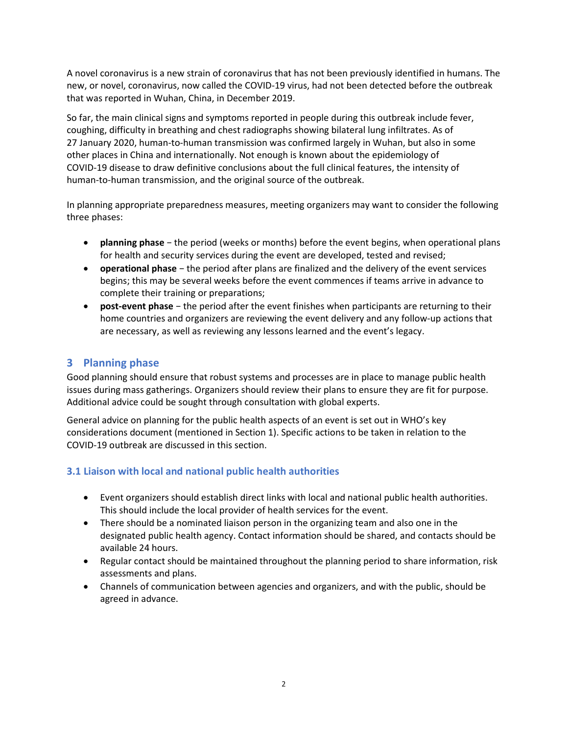A novel coronavirus is a new strain of coronavirus that has not been previously identified in humans. The new, or novel, coronavirus, now called the COVID-19 virus, had not been detected before the outbreak that was reported in Wuhan, China, in December 2019.

So far, the main clinical signs and symptoms reported in people during this outbreak include fever, coughing, difficulty in breathing and chest radiographs showing bilateral lung infiltrates. As of 27 January 2020, human-to-human transmission was confirmed largely in Wuhan, but also in some other places in China and internationally. Not enough is known about the epidemiology of COVID-19 disease to draw definitive conclusions about the full clinical features, the intensity of human-to-human transmission, and the original source of the outbreak.

In planning appropriate preparedness measures, meeting organizers may want to consider the following three phases:

- planning phase − the period (weeks or months) before the event begins, when operational plans for health and security services during the event are developed, tested and revised;
- operational phase the period after plans are finalized and the delivery of the event services begins; this may be several weeks before the event commences if teams arrive in advance to complete their training or preparations;
- post-event phase the period after the event finishes when participants are returning to their home countries and organizers are reviewing the event delivery and any follow-up actions that are necessary, as well as reviewing any lessons learned and the event's legacy.

# 3 Planning phase

Good planning should ensure that robust systems and processes are in place to manage public health issues during mass gatherings. Organizers should review their plans to ensure they are fit for purpose. Additional advice could be sought through consultation with global experts.

General advice on planning for the public health aspects of an event is set out in WHO's key considerations document (mentioned in Section 1). Specific actions to be taken in relation to the COVID-19 outbreak are discussed in this section.

# 3.1 Liaison with local and national public health authorities

- Event organizers should establish direct links with local and national public health authorities. This should include the local provider of health services for the event.
- There should be a nominated liaison person in the organizing team and also one in the designated public health agency. Contact information should be shared, and contacts should be available 24 hours.
- Regular contact should be maintained throughout the planning period to share information, risk assessments and plans.
- Channels of communication between agencies and organizers, and with the public, should be agreed in advance.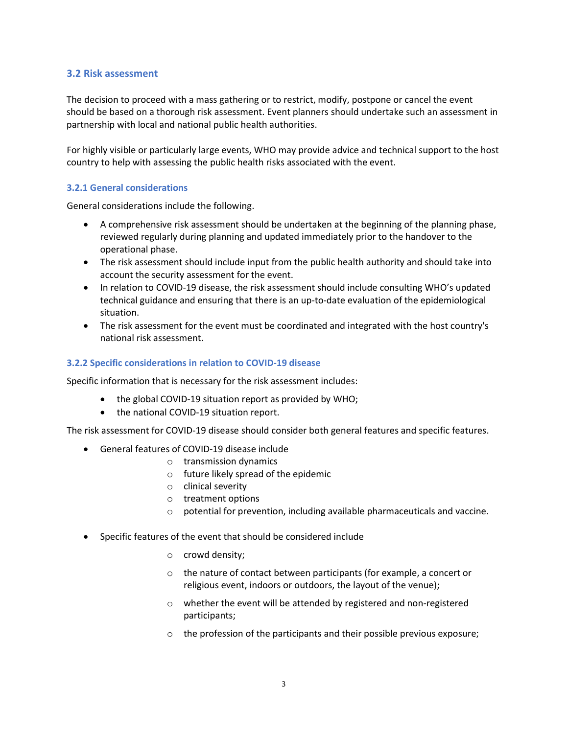#### 3.2 Risk assessment

The decision to proceed with a mass gathering or to restrict, modify, postpone or cancel the event should be based on a thorough risk assessment. Event planners should undertake such an assessment in partnership with local and national public health authorities.

For highly visible or particularly large events, WHO may provide advice and technical support to the host country to help with assessing the public health risks associated with the event.

#### 3.2.1 General considerations

General considerations include the following.

- A comprehensive risk assessment should be undertaken at the beginning of the planning phase, reviewed regularly during planning and updated immediately prior to the handover to the operational phase.
- The risk assessment should include input from the public health authority and should take into account the security assessment for the event.
- In relation to COVID-19 disease, the risk assessment should include consulting WHO's updated technical guidance and ensuring that there is an up-to-date evaluation of the epidemiological situation.
- The risk assessment for the event must be coordinated and integrated with the host country's national risk assessment.

#### 3.2.2 Specific considerations in relation to COVID-19 disease

Specific information that is necessary for the risk assessment includes:

- the global COVID-19 situation report as provided by WHO;
- the national COVID-19 situation report.

The risk assessment for COVID-19 disease should consider both general features and specific features.

- General features of COVID-19 disease include
	- o transmission dynamics
	- o future likely spread of the epidemic
	- o clinical severity
	- o treatment options
	- $\circ$  potential for prevention, including available pharmaceuticals and vaccine.
- Specific features of the event that should be considered include
	- o crowd density;
	- o the nature of contact between participants (for example, a concert or religious event, indoors or outdoors, the layout of the venue);
	- o whether the event will be attended by registered and non-registered participants;
	- o the profession of the participants and their possible previous exposure;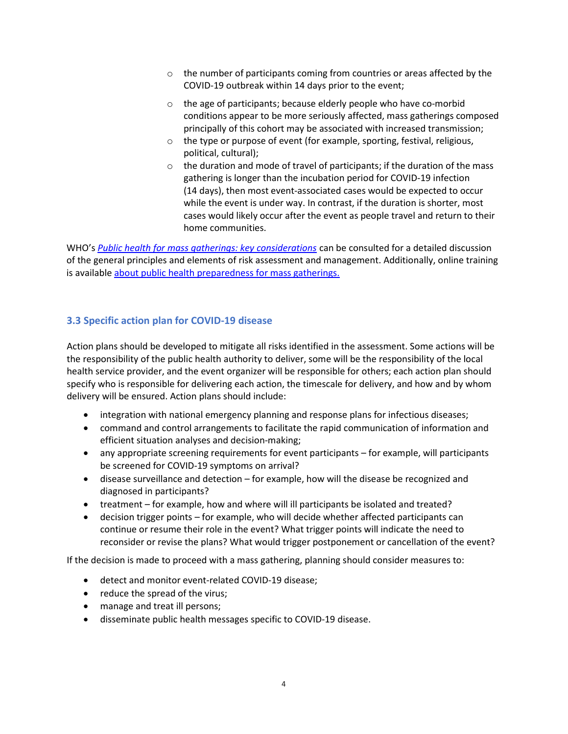- $\circ$  the number of participants coming from countries or areas affected by the COVID-19 outbreak within 14 days prior to the event;
- o the age of participants; because elderly people who have co-morbid conditions appear to be more seriously affected, mass gatherings composed principally of this cohort may be associated with increased transmission;
- o the type or purpose of event (for example, sporting, festival, religious, political, cultural);
- $\circ$  the duration and mode of travel of participants; if the duration of the mass gathering is longer than the incubation period for COVID-19 infection (14 days), then most event-associated cases would be expected to occur while the event is under way. In contrast, if the duration is shorter, most cases would likely occur after the event as people travel and return to their home communities.

WHO's Public health for mass gatherings: key considerations can be consulted for a detailed discussion of the general principles and elements of risk assessment and management. Additionally, online training is available about public health preparedness for mass gatherings.

# 3.3 Specific action plan for COVID-19 disease

Action plans should be developed to mitigate all risks identified in the assessment. Some actions will be the responsibility of the public health authority to deliver, some will be the responsibility of the local health service provider, and the event organizer will be responsible for others; each action plan should specify who is responsible for delivering each action, the timescale for delivery, and how and by whom delivery will be ensured. Action plans should include:

- integration with national emergency planning and response plans for infectious diseases;
- command and control arrangements to facilitate the rapid communication of information and efficient situation analyses and decision-making;
- any appropriate screening requirements for event participants for example, will participants be screened for COVID-19 symptoms on arrival?
- disease surveillance and detection for example, how will the disease be recognized and diagnosed in participants?
- treatment for example, how and where will ill participants be isolated and treated?
- decision trigger points for example, who will decide whether affected participants can continue or resume their role in the event? What trigger points will indicate the need to reconsider or revise the plans? What would trigger postponement or cancellation of the event?

If the decision is made to proceed with a mass gathering, planning should consider measures to:

- detect and monitor event-related COVID-19 disease;
- reduce the spread of the virus;
- manage and treat ill persons;
- disseminate public health messages specific to COVID-19 disease.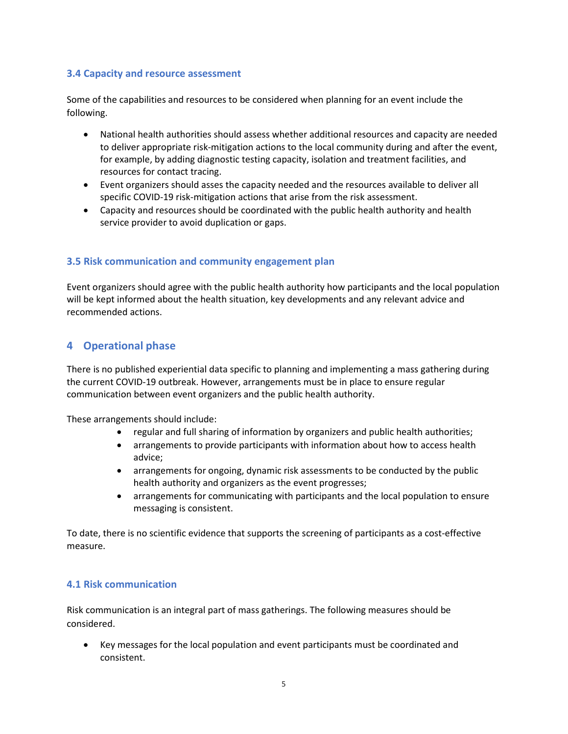### 3.4 Capacity and resource assessment

Some of the capabilities and resources to be considered when planning for an event include the following.

- National health authorities should assess whether additional resources and capacity are needed to deliver appropriate risk-mitigation actions to the local community during and after the event, for example, by adding diagnostic testing capacity, isolation and treatment facilities, and resources for contact tracing.
- Event organizers should asses the capacity needed and the resources available to deliver all specific COVID-19 risk-mitigation actions that arise from the risk assessment.
- Capacity and resources should be coordinated with the public health authority and health service provider to avoid duplication or gaps.

#### 3.5 Risk communication and community engagement plan

Event organizers should agree with the public health authority how participants and the local population will be kept informed about the health situation, key developments and any relevant advice and recommended actions.

# 4 Operational phase

There is no published experiential data specific to planning and implementing a mass gathering during the current COVID-19 outbreak. However, arrangements must be in place to ensure regular communication between event organizers and the public health authority.

These arrangements should include:

- regular and full sharing of information by organizers and public health authorities;
- arrangements to provide participants with information about how to access health advice;
- arrangements for ongoing, dynamic risk assessments to be conducted by the public health authority and organizers as the event progresses;
- arrangements for communicating with participants and the local population to ensure messaging is consistent.

To date, there is no scientific evidence that supports the screening of participants as a cost-effective measure.

#### 4.1 Risk communication

Risk communication is an integral part of mass gatherings. The following measures should be considered.

 Key messages for the local population and event participants must be coordinated and consistent.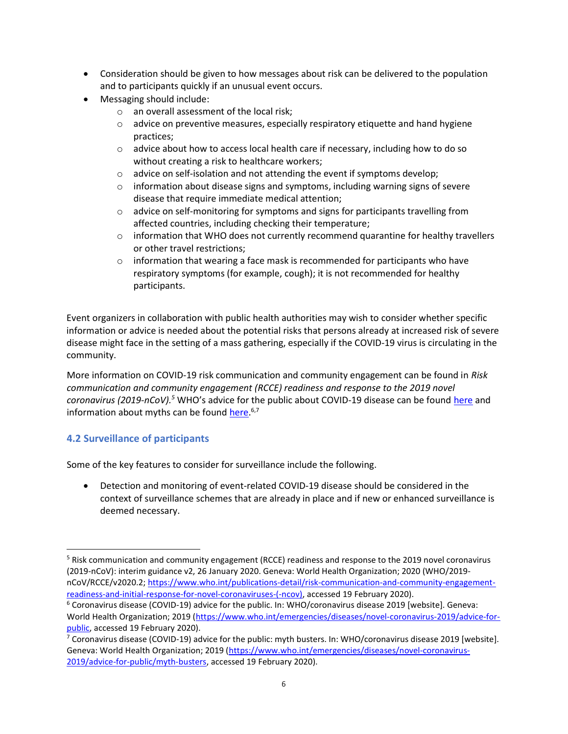- Consideration should be given to how messages about risk can be delivered to the population and to participants quickly if an unusual event occurs.
- Messaging should include:
	- o an overall assessment of the local risk;
	- $\circ$  advice on preventive measures, especially respiratory etiquette and hand hygiene practices;
	- $\circ$  advice about how to access local health care if necessary, including how to do so without creating a risk to healthcare workers;
	- o advice on self-isolation and not attending the event if symptoms develop;
	- $\circ$  information about disease signs and symptoms, including warning signs of severe disease that require immediate medical attention;
	- $\circ$  advice on self-monitoring for symptoms and signs for participants travelling from affected countries, including checking their temperature;
	- $\circ$  information that WHO does not currently recommend quarantine for healthy travellers or other travel restrictions;
	- $\circ$  information that wearing a face mask is recommended for participants who have respiratory symptoms (for example, cough); it is not recommended for healthy participants.

Event organizers in collaboration with public health authorities may wish to consider whether specific information or advice is needed about the potential risks that persons already at increased risk of severe disease might face in the setting of a mass gathering, especially if the COVID-19 virus is circulating in the community.

More information on COVID-19 risk communication and community engagement can be found in Risk communication and community engagement (RCCE) readiness and response to the 2019 novel coronavirus (2019-nCoV).<sup>5</sup> WHO's advice for the public about COVID-19 disease can be found here and information about myths can be found here.<sup>6,7</sup>

# 4.2 Surveillance of participants

 $\overline{a}$ 

Some of the key features to consider for surveillance include the following.

 Detection and monitoring of event-related COVID-19 disease should be considered in the context of surveillance schemes that are already in place and if new or enhanced surveillance is deemed necessary.

<sup>&</sup>lt;sup>5</sup> Risk communication and community engagement (RCCE) readiness and response to the 2019 novel coronavirus (2019-nCoV): interim guidance v2, 26 January 2020. Geneva: World Health Organization; 2020 (WHO/2019 nCoV/RCCE/v2020.2; https://www.who.int/publications-detail/risk-communication-and-community-engagementreadiness-and-initial-response-for-novel-coronaviruses-(-ncov), accessed 19 February 2020).

<sup>6</sup> Coronavirus disease (COVID-19) advice for the public. In: WHO/coronavirus disease 2019 [website]. Geneva: World Health Organization; 2019 (https://www.who.int/emergencies/diseases/novel-coronavirus-2019/advice-forpublic, accessed 19 February 2020).

<sup>&</sup>lt;sup>7</sup> Coronavirus disease (COVID-19) advice for the public: myth busters. In: WHO/coronavirus disease 2019 [website]. Geneva: World Health Organization; 2019 (https://www.who.int/emergencies/diseases/novel-coronavirus-2019/advice-for-public/myth-busters, accessed 19 February 2020).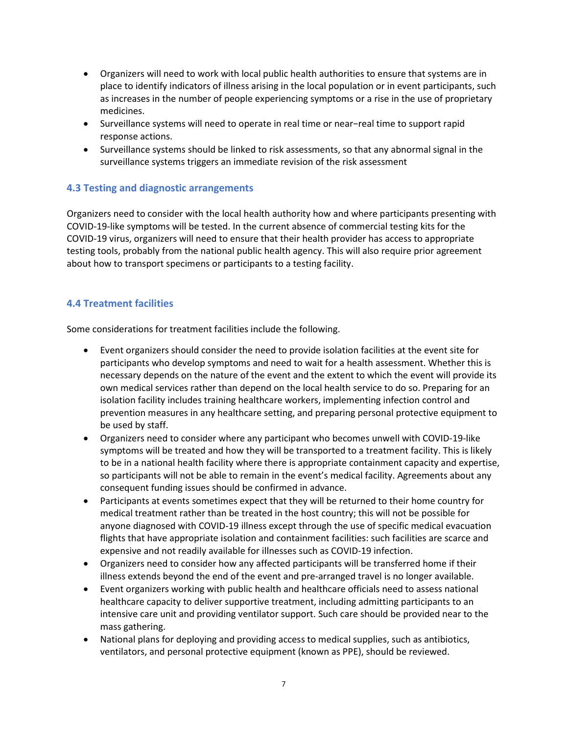- Organizers will need to work with local public health authorities to ensure that systems are in place to identify indicators of illness arising in the local population or in event participants, such as increases in the number of people experiencing symptoms or a rise in the use of proprietary medicines.
- Surveillance systems will need to operate in real time or near−real time to support rapid response actions.
- Surveillance systems should be linked to risk assessments, so that any abnormal signal in the surveillance systems triggers an immediate revision of the risk assessment

## 4.3 Testing and diagnostic arrangements

Organizers need to consider with the local health authority how and where participants presenting with COVID-19-like symptoms will be tested. In the current absence of commercial testing kits for the COVID-19 virus, organizers will need to ensure that their health provider has access to appropriate testing tools, probably from the national public health agency. This will also require prior agreement about how to transport specimens or participants to a testing facility.

# 4.4 Treatment facilities

Some considerations for treatment facilities include the following.

- Event organizers should consider the need to provide isolation facilities at the event site for participants who develop symptoms and need to wait for a health assessment. Whether this is necessary depends on the nature of the event and the extent to which the event will provide its own medical services rather than depend on the local health service to do so. Preparing for an isolation facility includes training healthcare workers, implementing infection control and prevention measures in any healthcare setting, and preparing personal protective equipment to be used by staff.
- Organizers need to consider where any participant who becomes unwell with COVID-19-like symptoms will be treated and how they will be transported to a treatment facility. This is likely to be in a national health facility where there is appropriate containment capacity and expertise, so participants will not be able to remain in the event's medical facility. Agreements about any consequent funding issues should be confirmed in advance.
- Participants at events sometimes expect that they will be returned to their home country for medical treatment rather than be treated in the host country; this will not be possible for anyone diagnosed with COVID-19 illness except through the use of specific medical evacuation flights that have appropriate isolation and containment facilities: such facilities are scarce and expensive and not readily available for illnesses such as COVID-19 infection.
- Organizers need to consider how any affected participants will be transferred home if their illness extends beyond the end of the event and pre-arranged travel is no longer available.
- Event organizers working with public health and healthcare officials need to assess national healthcare capacity to deliver supportive treatment, including admitting participants to an intensive care unit and providing ventilator support. Such care should be provided near to the mass gathering.
- National plans for deploying and providing access to medical supplies, such as antibiotics, ventilators, and personal protective equipment (known as PPE), should be reviewed.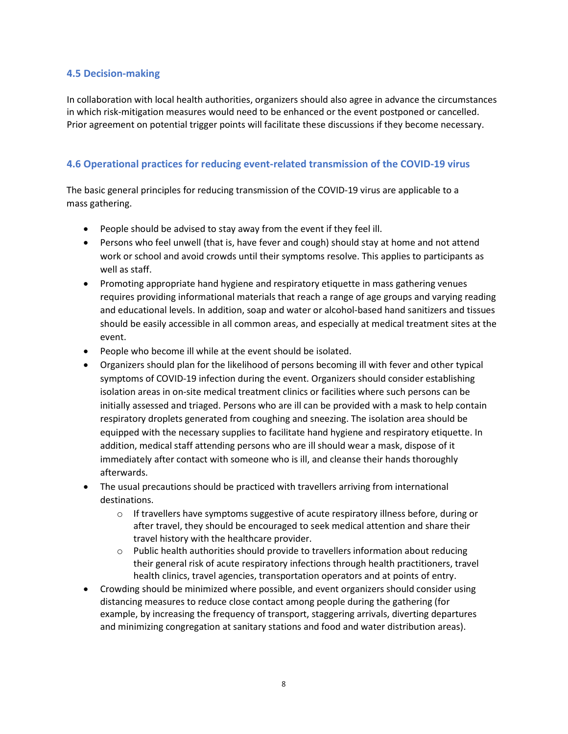## 4.5 Decision-making

In collaboration with local health authorities, organizers should also agree in advance the circumstances in which risk-mitigation measures would need to be enhanced or the event postponed or cancelled. Prior agreement on potential trigger points will facilitate these discussions if they become necessary.

# 4.6 Operational practices for reducing event-related transmission of the COVID-19 virus

The basic general principles for reducing transmission of the COVID-19 virus are applicable to a mass gathering.

- People should be advised to stay away from the event if they feel ill.
- Persons who feel unwell (that is, have fever and cough) should stay at home and not attend work or school and avoid crowds until their symptoms resolve. This applies to participants as well as staff.
- Promoting appropriate hand hygiene and respiratory etiquette in mass gathering venues requires providing informational materials that reach a range of age groups and varying reading and educational levels. In addition, soap and water or alcohol-based hand sanitizers and tissues should be easily accessible in all common areas, and especially at medical treatment sites at the event.
- People who become ill while at the event should be isolated.
- Organizers should plan for the likelihood of persons becoming ill with fever and other typical symptoms of COVID-19 infection during the event. Organizers should consider establishing isolation areas in on-site medical treatment clinics or facilities where such persons can be initially assessed and triaged. Persons who are ill can be provided with a mask to help contain respiratory droplets generated from coughing and sneezing. The isolation area should be equipped with the necessary supplies to facilitate hand hygiene and respiratory etiquette. In addition, medical staff attending persons who are ill should wear a mask, dispose of it immediately after contact with someone who is ill, and cleanse their hands thoroughly afterwards.
- The usual precautions should be practiced with travellers arriving from international destinations.
	- $\circ$  If travellers have symptoms suggestive of acute respiratory illness before, during or after travel, they should be encouraged to seek medical attention and share their travel history with the healthcare provider.
	- $\circ$  Public health authorities should provide to travellers information about reducing their general risk of acute respiratory infections through health practitioners, travel health clinics, travel agencies, transportation operators and at points of entry.
- Crowding should be minimized where possible, and event organizers should consider using distancing measures to reduce close contact among people during the gathering (for example, by increasing the frequency of transport, staggering arrivals, diverting departures and minimizing congregation at sanitary stations and food and water distribution areas).